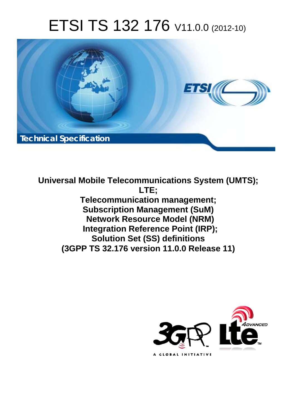# ETSI TS 132 176 V11.0.0 (2012-10)



**Universal Mobile Telecommunications System (UMTS); LTE; Telecommunication management; Subscription Management (SuM) Network Resource Model (NRM) Integration Reference Point (IRP); Solution Set (SS) definitions (3GPP TS 32.176 version 11.0.0 Release 11)** 

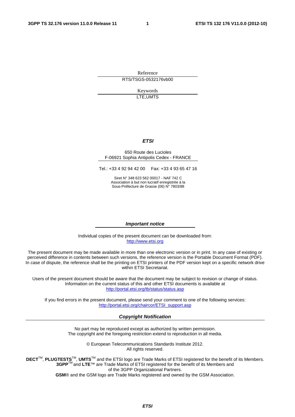Reference RTS/TSGS-0532176vb00

> Keywords LTE,UMTS

#### *ETSI*

#### 650 Route des Lucioles F-06921 Sophia Antipolis Cedex - FRANCE

Tel.: +33 4 92 94 42 00 Fax: +33 4 93 65 47 16

Siret N° 348 623 562 00017 - NAF 742 C Association à but non lucratif enregistrée à la Sous-Préfecture de Grasse (06) N° 7803/88

#### *Important notice*

Individual copies of the present document can be downloaded from: [http://www.etsi.org](http://www.etsi.org/)

The present document may be made available in more than one electronic version or in print. In any case of existing or perceived difference in contents between such versions, the reference version is the Portable Document Format (PDF). In case of dispute, the reference shall be the printing on ETSI printers of the PDF version kept on a specific network drive within ETSI Secretariat.

Users of the present document should be aware that the document may be subject to revision or change of status. Information on the current status of this and other ETSI documents is available at <http://portal.etsi.org/tb/status/status.asp>

If you find errors in the present document, please send your comment to one of the following services: [http://portal.etsi.org/chaircor/ETSI\\_support.asp](http://portal.etsi.org/chaircor/ETSI_support.asp)

#### *Copyright Notification*

No part may be reproduced except as authorized by written permission. The copyright and the foregoing restriction extend to reproduction in all media.

> © European Telecommunications Standards Institute 2012. All rights reserved.

DECT<sup>™</sup>, PLUGTESTS<sup>™</sup>, UMTS<sup>™</sup> and the ETSI logo are Trade Marks of ETSI registered for the benefit of its Members. **3GPP**TM and **LTE**™ are Trade Marks of ETSI registered for the benefit of its Members and of the 3GPP Organizational Partners.

**GSM**® and the GSM logo are Trade Marks registered and owned by the GSM Association.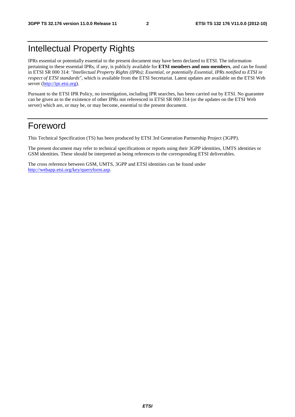# Intellectual Property Rights

IPRs essential or potentially essential to the present document may have been declared to ETSI. The information pertaining to these essential IPRs, if any, is publicly available for **ETSI members and non-members**, and can be found in ETSI SR 000 314: *"Intellectual Property Rights (IPRs); Essential, or potentially Essential, IPRs notified to ETSI in respect of ETSI standards"*, which is available from the ETSI Secretariat. Latest updates are available on the ETSI Web server ([http://ipr.etsi.org\)](http://webapp.etsi.org/IPR/home.asp).

Pursuant to the ETSI IPR Policy, no investigation, including IPR searches, has been carried out by ETSI. No guarantee can be given as to the existence of other IPRs not referenced in ETSI SR 000 314 (or the updates on the ETSI Web server) which are, or may be, or may become, essential to the present document.

#### Foreword

This Technical Specification (TS) has been produced by ETSI 3rd Generation Partnership Project (3GPP).

The present document may refer to technical specifications or reports using their 3GPP identities, UMTS identities or GSM identities. These should be interpreted as being references to the corresponding ETSI deliverables.

The cross reference between GSM, UMTS, 3GPP and ETSI identities can be found under [http://webapp.etsi.org/key/queryform.asp.](http://webapp.etsi.org/key/queryform.asp)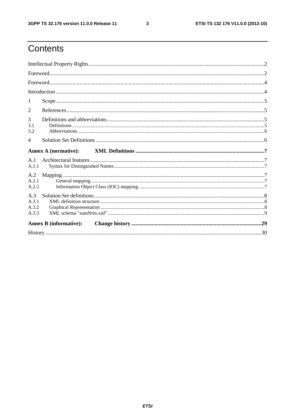$\mathbf{3}$ 

# Contents

| 1                              |                               |  |
|--------------------------------|-------------------------------|--|
| $\overline{2}$                 |                               |  |
| 3<br>3.1<br>3.2                |                               |  |
| $\overline{4}$                 |                               |  |
|                                | <b>Annex A (normative):</b>   |  |
| A.1<br>A.1.1                   |                               |  |
| A.2<br>A.2.1<br>A.2.2          |                               |  |
| A.3<br>A.3.1<br>A.3.2<br>A.3.3 |                               |  |
|                                | <b>Annex B</b> (informative): |  |
|                                |                               |  |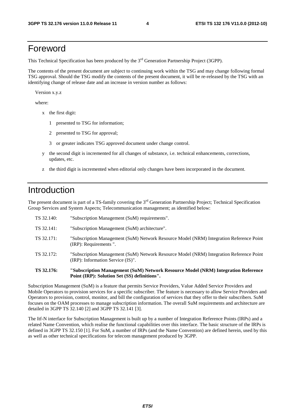#### Foreword

This Technical Specification has been produced by the 3<sup>rd</sup> Generation Partnership Project (3GPP).

The contents of the present document are subject to continuing work within the TSG and may change following formal TSG approval. Should the TSG modify the contents of the present document, it will be re-released by the TSG with an identifying change of release date and an increase in version number as follows:

Version x.y.z

where:

- x the first digit:
	- 1 presented to TSG for information;
	- 2 presented to TSG for approval;
	- 3 or greater indicates TSG approved document under change control.
- y the second digit is incremented for all changes of substance, i.e. technical enhancements, corrections, updates, etc.
- z the third digit is incremented when editorial only changes have been incorporated in the document.

### Introduction

The present document is part of a TS-family covering the 3<sup>rd</sup> Generation Partnership Project; Technical Specification Group Services and System Aspects; Telecommunication management; as identified below:

| TS 32.176: | "Subscription Management (SuM) Network Resource Model (NRM) Integration Reference                                            |
|------------|------------------------------------------------------------------------------------------------------------------------------|
| TS 32.172: | "Subscription Management (SuM) Network Resource Model (NRM) Integration Reference Point<br>(IRP): Information Service (IS)". |
| TS 32.171: | "Subscription Management (SuM) Network Resource Model (NRM) Integration Reference Point<br>(IRP): Requirements ".            |
| TS 32.141: | "Subscription Management (SuM) architecture".                                                                                |
| TS 32.140: | "Subscription Management (SuM) requirements".                                                                                |

**Point (IRP): Solution Set (SS) definitions".** 

Subscription Management (SuM) is a feature that permits Service Providers, Value Added Service Providers and Mobile Operators to provision services for a specific subscriber. The feature is necessary to allow Service Providers and Operators to provision, control, monitor, and bill the configuration of services that they offer to their subscribers. SuM focuses on the OAM processes to manage subscription information. The overall SuM requirements and architecture are detailed in 3GPP TS 32.140 [2] and 3GPP TS 32.141 [3].

The Itf-N interface for Subscription Management is built up by a number of Integration Reference Points (IRPs) and a related Name Convention, which realise the functional capabilities over this interface. The basic structure of the IRPs is defined in 3GPP TS 32.150 [1]. For SuM, a number of IRPs (and the Name Convention) are defined herein, used by this as well as other technical specifications for telecom management produced by 3GPP.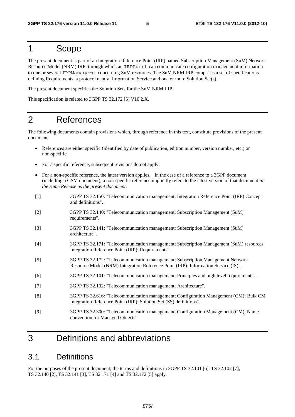#### 1 Scope

The present document is part of an Integration Reference Point (IRP) named Subscription Management (SuM) Network Resource Model (NRM) IRP, through which an IRPAgent can communicate configuration management information to one or several IRPManagers concerning SuM resources. The SuM NRM IRP comprises a set of specifications defining Requirements, a protocol neutral Information Service and one or more Solution Set(s).

The present document specifies the Solution Sets for the SuM NRM IRP.

This specification is related to 3GPP TS 32.172 [5] V10.2.X.

### 2 References

The following documents contain provisions which, through reference in this text, constitute provisions of the present document.

- References are either specific (identified by date of publication, edition number, version number, etc.) or non-specific.
- For a specific reference, subsequent revisions do not apply.
- For a non-specific reference, the latest version applies. In the case of a reference to a 3GPP document (including a GSM document), a non-specific reference implicitly refers to the latest version of that document *in the same Release as the present document*.
- [1] 3GPP TS 32.150: "Telecommunication management; Integration Reference Point (IRP) Concept and definitions". [2] 3GPP TS 32.140: "Telecommunication management; Subscription Management (SuM) requirements". [3] 3GPP TS 32.141: "Telecommunication management; Subscription Management (SuM) architecture". [4] 3GPP TS 32.171: "Telecommunication management; Subscription Management (SuM) resources Integration Reference Point (IRP); Requirements". [5] 3GPP TS 32.172: "Telecommunication management; Subscription Management Network Resource Model (NRM) Integration Reference Point (IRP): Information Service (IS)". [6] 3GPP TS 32.101: "Telecommunication management; Principles and high level requirements". [7] 3GPP TS 32.102: "Telecommunication management; Architecture". [8] 3GPP TS 32.616: "Telecommunication management; Configuration Management (CM); Bulk CM Integration Reference Point (IRP): Solution Set (SS) definitions". [9] 3GPP TS 32.300: "Telecommunication management; Configuration Management (CM); Name convention for Managed Objects"

# 3 Definitions and abbreviations

#### 3.1 Definitions

For the purposes of the present document, the terms and definitions in 3GPP TS 32.101 [6], TS 32.102 [7], TS 32.140 [2], TS 32.141 [3], TS 32.171 [4] and TS 32.172 [5] apply.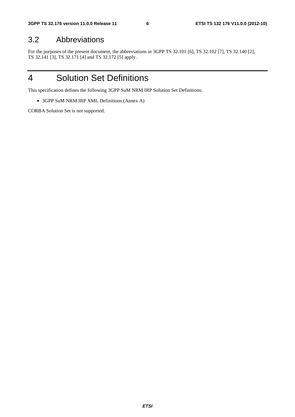#### 3.2 Abbreviations

For the purposes of the present document, the abbreviations in 3GPP TS 32.101 [6], TS 32.102 [7], TS 32.140 [2], TS 32.141 [3], TS 32.171 [4] and TS 32.172 [5] apply.

### 4 Solution Set Definitions

This specification defines the following 3GPP SuM NRM IRP Solution Set Definitions:

• 3GPP SuM NRM IRP XML Definitions (Annex A)

CORBA Solution Set is not supported.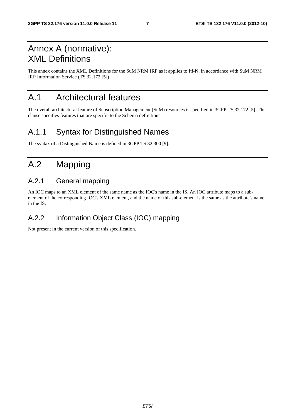# Annex A (normative): XML Definitions

This annex contains the XML Definitions for the SuM NRM IRP as it applies to Itf-N, in accordance with SuM NRM IRP Information Service (TS 32.172 [5])

# A.1 Architectural features

The overall architectural feature of Subscription Management (SuM) resources is specified in 3GPP TS 32.172 [5]. This clause specifies features that are specific to the Schema definitions.

### A.1.1 Syntax for Distinguished Names

The syntax of a Distinguished Name is defined in 3GPP TS 32.300 [9].

# A.2 Mapping

#### A.2.1 General mapping

An IOC maps to an XML element of the same name as the IOC's name in the IS. An IOC attribute maps to a subelement of the corresponding IOC's XML element, and the name of this sub-element is the same as the attribute's name in the IS.

#### A.2.2 Information Object Class (IOC) mapping

Not present in the current version of this specification.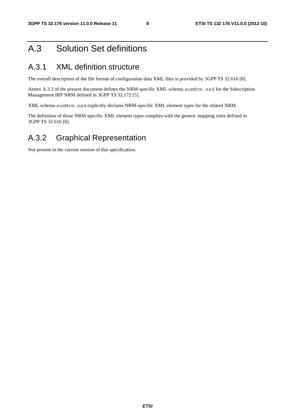# A.3 Solution Set definitions

### A.3.1 XML definition structure

The overall description of the file format of configuration data XML files is provided by 3GPP TS 32.616 [8].

Annex A.3.3 of the present document defines the NRM-specific XML schema sumNrm.xsd for the Subscription Management IRP NRM defined in 3GPP TS 32.172 [5].

XML schema sumNrm.xsd explicitly declares NRM-specific XML element types for the related NRM.

The definition of those NRM-specific XML element types complies with the generic mapping rules defined in 3GPP TS 32.616 [8].

#### A.3.2 Graphical Representation

Not present in the current version of this specification.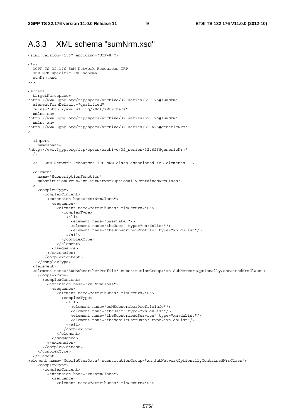#### A.3.3 XML schema "sumNrm.xsd"

```
<?xml version="1.0" encoding="UTF-8"?> 
>1- 3GPP TS 32.176 SuM Network Resources IRP 
   SuM NRM-specific XML schema 
   sumNrm.xsd 
--> 
<schema 
   targetNamespace= 
"http://www.3gpp.org/ftp/specs/archive/32_series/32.176#sumNrm" 
  elementFormDefault="qualified" 
  xmlns="http://www.w3.org/2001/XMLSchema" 
   xmlns:sn= 
"http://www.3gpp.org/ftp/specs/archive/32_series/32.176#sumNrm" 
  xmlns:xn= 
"http://www.3gpp.org/ftp/specs/archive/32_series/32.626#genericNrm" 
> 
   <import 
    namespace= 
"http://www.3gpp.org/ftp/specs/archive/32_series/32.626#genericNrm" 
 / <!-- SuM Network Resources IRP NRM class associated XML elements --> 
   <element 
    name="SubscriptionFunction" 
     substitutionGroup="xn:SubNetworkOptionallyContainedNrmClass" 
\rightarrow <complexType> 
       <complexContent> 
         <extension base="xn:NrmClass"> 
           <sequence> 
              <element name="attributes" minOccurs="0"> 
                <complexType> 
                  <all> 
                    <element name="userLabel"/> 
                    <element name="theUser" type="xn:dnList"/> 
                    <element name="theSubscriberProfile" type="xn:dnList"/> 
                 \langleall> </complexType> 
             \epsilon/element>
            </sequence> 
         </extension> 
       </complexContent> 
     </complexType> 
  >1element \sim <element name="SuMSubscriberProfile" substitutionGroup="xn:SubNetworkOptionallyContainedNrmClass"> 
     <complexType> 
       <complexContent> 
         <extension base="xn:NrmClass"> 
           <sequence> 
              <element name="attributes" minOccurs="0"> 
                <complexType> 
                 \leq alls
                    <element name="suMSubscriberProfileInfo"/> 
                    <element name="theUser" type="xn:dnList"/> 
                    <element name="theSubscribedService" type="xn:dnList"/> 
                    <element name="theMobileUserData" type="xn:dnList"/> 
                 \epsilon/all\epsilon </complexType> 
              </element> 
           </sequence> 
         </extension> 
       </complexContent> 
     </complexType> 
   </element> 
<element name="MobileUserData" substitutionGroup="xn:SubNetworkOptionallyContainedNrmClass"> 
     <complexType> 
       <complexContent> 
         <extension base="xn:NrmClass"> 
           <sequence> 
              <element name="attributes" minOccurs="0">
```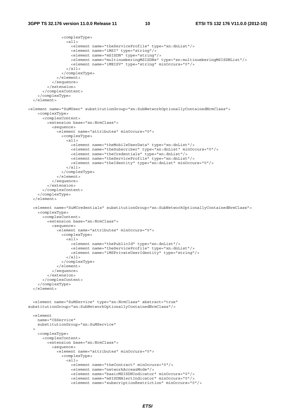```
 <complexType> 
                  <all> 
                    <element name="theServiceProfile" type="xn:dnList"/> 
                    <element name="iMSI" type="string"/> 
                    <element name="mSISDN" type="string"/> 
                    <element name="multinumberingMSISDNs" type="sn:multinumberingMSISDNList"/> 
                    <element name="iMEISV" type="string" minOccurs="0"/> 
                 \epsilon/all\epsilon </complexType> 
              </element> 
            </sequence> 
         </extension> 
       </complexContent> 
     </complexType> 
   </element> 
<element name="SuMUser" substitutionGroup="xn:SubNetworkOptionallyContainedNrmClass"> 
     <complexType> 
       <complexContent> 
         <extension base="xn:NrmClass"> 
            <sequence> 
              <element name="attributes" minOccurs="0"> 
                <complexType> 
                  <all> 
                    <element name="theMobileUserData" type="xn:dnList"/> 
                    <element name="theSubscriber" type="xn:dnList" minOccurs="0"/> 
                    <element name="theCredentials" type="xn:dnList"/> 
                    <element name="theServiceProfile" type="xn:dnList"/> 
                    <element name="theIdentity" type="xn:dnList" minOccurs="0"/> 
                 2/211 </complexType> 
              </element> 
            </sequence> 
         </extension> 
       </complexContent> 
     </complexType> 
   </element> 
  <element name="SuMCredentials" substitutionGroup="xn:SubNetworkOptionallyContainedNrmClass"> 
     <complexType> 
       <complexContent> 
         <extension base="xn:NrmClass"> 
            <sequence> 
              <element name="attributes" minOccurs="0"> 
                <complexType> 
                  <all> 
                    <element name="thePublicId" type="xn:dnList"/> 
                    <element name="theServiceProfile" type="xn:dnList"/> 
                    <element name="iMSPrivateUserIdentity" type="string"/> 
                 \langleall> </complexType> 
             \epsilon/elements
            </sequence> 
          </extension> 
       </complexContent> 
     </complexType> 
   </element> 
   <element name="SuMService" type="xn:NrmClass" abstract="true" 
substitutionGroup="xn:SubNetworkOptionallyContainedNrmClass"/> 
   <element 
     name="CSService" 
     substitutionGroup="sn:SuMService" 
\rightarrow <complexType> 
       <complexContent> 
         <extension base="xn:NrmClass"> 
            <sequence> 
              <element name="attributes" minOccurs="0"> 
                <complexType> 
                  <all> 
                    <element name="theContract" minOccurs="0"/> 
                    <element name="networkAccessMode"/> 
                    <element name="basicMSISDNIndicator" minOccurs="0"/> 
                    <element name="mSISDNAlertIndicator" minOccurs="0"/> 
                    <element name="subscriptionRestriction" minOccurs="0"/>
```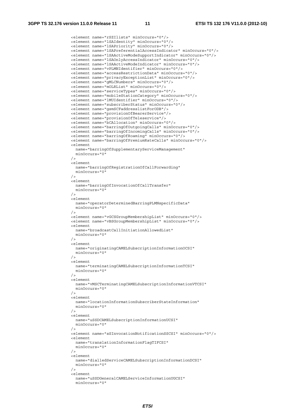<element name="rSZIlists" minOccurs="0"/> <element name="lSAIdentity" minOccurs="0"/> <element name="lSAPriority" minOccurs="0"/> <element name="lSAPreferentialAccessIndicator" minOccurs="0"/> <element name="lSAActiveModeSupportIndicator" minOccurs="0"/> <element name="lSAOnlyAccessIndicator" minOccurs="0"/> <element name="lSAActiveModeIndicator" minOccurs="0"/> <element name="vPLMNIdentifier" minOccurs="0"/> <element name="accessRestrictionData" minOccurs="0"/> <element name="privacyExceptionList" minOccurs="0"/> <element name="gMLCNumbers" minOccurs="0"/> <element name="mOLRList" minOccurs="0"/> <element name="serviceTypes" minOccurs="0"/> <element name="mobileStationCategory" minOccurs="0"/> <element name="lMUIdentifier" minOccurs="0"/> <element name="subscriberStatus" minOccurs="0"/> <element name="gsmSCFaddresslistForODB"/> <element name="provisionOfBearerService"/> <element name="provisionOfTeleservice"/> <element name="bCAllocation" minOccurs="0"/> <element name="barringOfOutgoingCalls" minOccurs="0"/> <element name="barringOfIncomingCalls" minOccurs="0"/> <element name="barringOfRoaming" minOccurs="0"/> <element name="barringOfPremiumRateCalls" minOccurs="0"/> <element name="barringOfSupplementaryServiceManagement" minOccurs="0" /> <element name="barringOfRegistrationOfCallForwarding"  $minOccurs="0"$  /> <element name="barringOfInvocationOfCallTransfer" minOccurs="0" /> <element name="operatorDeterminedBarringPLMNspecificData" minOccurs="0" /> <element name="vGCSGroupMembershipList" minOccurs="0"/> <element name="vBSGroupMembershipList" minOccurs="0"/> <element name="broadcastCallInitiationAllowedList" minOccurs="0" /> <element name="originatingCAMELSubscriptionInformationOCSI" minOccurs="0"  $/$  <element name="terminatingCAMELSubscriptionInformationTCSI" minOccurs="0" /> <element name="vMSCTerminatingCAMELSubscriptionInformationVTCSI" minOccurs="0" /> <element name="locationInformationSubscriberStateInformation" minOccurs="0"  $/$  <element name="uSSDCAMELSubscriptionInformationUCSI" minOccurs="0" /> <element name="sSInvocationNotificationSSCSI" minOccurs="0"/> <element name="translationInformationFlagTIFCSI" minOccurs="0" /> <element name="dialledServiceCAMELSubscriptionInformationDCSI" minOccurs="0" /> <element name="uSSDGeneralCAMELServiceInformationUGCSI" minOccurs="0"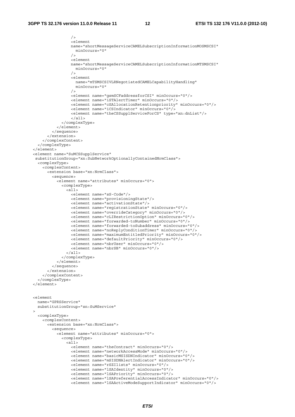```
 /> 
                    <element 
                   name="shortMessageServiceCAMELSubscriptionInformationMOSMSCSI" 
                     minOccurs="0" 
 /> 
                    <element 
                   name="shortMessageServiceCAMELSubscriptionInformationMTSMSCSI" 
                     minOccurs="0" 
                   / <element 
                     name="mTSMSCSIVLRNegotiatedCAMELCapabilityHandling" 
                     minOccurs="0" 
                   / <element name="gsmSCFaddressforCSI" minOccurs="0"/> 
                    <element name="iSTAlertTimer" minOccurs="0"/> 
                    <element name="cSAllocationRetentionpriority" minOccurs="0"/> 
                    <element name="iCSIndicator" minOccurs="0"/> 
                    <element name="theCSSupplServiceForCS" type="xn:dnList"/> 
                    </all> 
               </complexType> 
             </element> 
           </sequence> 
         </extension> 
       </complexContent> 
     </complexType> 
  </element> 
   <element name="SuMCSSupplService" 
   substitutionGroup="xn:SubNetworkOptionallyContainedNrmClass"> 
    <complexType> 
       <complexContent> 
         <extension base="xn:NrmClass"> 
           <sequence> 
             <element name="attributes" minOccurs="0"> 
               <complexType> 
                 <all> 
                    <element name="sS-Code"/> 
                    <element name="provisioningState"/> 
                    <element name="activationState"/> 
                    <element name="registrationState" minOccurs="0"/> 
                    <element name="overrideCategory" minOccurs="0"/> 
                    <element name="cLIRestrictionOption" minOccurs="0"/> 
                    <element name="forwarded-toNumber" minOccurs="0"/> 
                    <element name="forwarded-toSubaddress" minOccurs="0"/> 
                    <element name="noReplyConditionTimer" minOccurs="0"/> 
                    <element name="maximumEntitledPriority" minOccurs="0"/> 
                    <element name="defaultPriority" minOccurs="0"/> 
                    <element name="nbrUser" minOccurs="0"/> 
                    <element name="nbrSB" minOccurs="0"/> 
                \langleall\rangle </complexType> 
             </element> 
           </sequence> 
         </extension> 
       </complexContent> 
     </complexType> 
  </element> 
  <element 
    name="GPRSService" 
    substitutionGroup="sn:SuMService" 
\rightarrow <complexType> 
       <complexContent> 
         <extension base="xn:NrmClass"> 
           <sequence> 
             <element name="attributes" minOccurs="0"> 
               <complexType> 
                 <all> 
                    <element name="theContract" minOccurs="0"/> 
                    <element name="networkAccessMode" minOccurs="0"/> 
                    <element name="basicMSISDNIndicator" minOccurs="0"/> 
                    <element name="mSISDNAlertIndicator" minOccurs="0"/> 
                    <element name="rSZIlists" minOccurs="0"/> 
                    <element name="lSAIdentity" minOccurs="0"/> 
                    <element name="lSAPriority" minOccurs="0"/> 
                    <element name="lSAPreferentialAccessIndicator" minOccurs="0"/> 
                    <element name="lSAActiveModeSupportIndicator" minOccurs="0"/>
```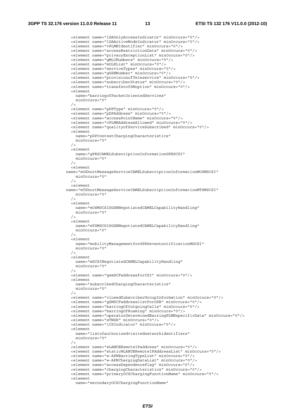<element name="lSAOnlyAccessIndicator" minOccurs="0"/> <element name="lSAActiveModeIndicator" minOccurs="0"/> <element name="vPLMNIdentifier" minOccurs="0"/> <element name="accessRestrictionData" minOccurs="0"/> <element name="privacyExceptionList" minOccurs="0"/> <element name="gMLCNumbers" minOccurs="0"/> <element name="mOLRList" minOccurs="0"/> <element name="serviceTypes" minOccurs="0"/> <element name="gGSNNumber" minOccurs="0"/> <element name="provisionofTeleservice" minOccurs="0"/> <element name="subscriberStatus" minOccurs="0"/> <element name="transferofSMoption" minOccurs="0"/> <element name="barringofPacketOrientedServices" minOccurs="0"  $/$  <element name="pDPType" minOccurs="0"/> <element name="pDPAddress" minOccurs="0"/> <element name="accessPointName" minOccurs="0"/> <element name="vPLMNAddressAllowed" minOccurs="0"/> <element name="qualityofServiceSubscribed" minOccurs="0"/> <element name="pDPContextChargingCharacteristics" minOccurs="0" /> <element name="gPRSCAMELSubscriptionInformationGPRSCSI" minOccurs="0" />  $>$ element name="mOShortMessageServiceCAMELSubscriptionInformationMOSMSCSI" minOccurs="0" /> <element name="mTShortMessageServiceCAMELSubscriptionInformationMTSMSCSI" minOccurs="0"  $/$  <element name="mOSMSCSISGSNNegotiatedCAMELCapabilityHandling" minOccurs="0" /> <element name="mTSMSCSISGSNNegotiatedCAMELCapabilityHandling" minOccurs="0" /> <element name="mobilityManagementforGPRSeventnotificationMGCSI" minOccurs="0" /> <element name="mGCSINegotiatedCAMELCapabilityHandling" minOccurs="0"  $/$  <element name="gsmSCFaddressforCSI" minOccurs="0"/> <element name="subscribedChargingCharacteristics" minOccurs="0" /> <element name="closedSubscriberGroupInformation" minOccurs="0"/> <element name="gSMSCFaddresslistForODB" minOccurs="0"/> <element name="barringOfOutgoingCalls" minOccurs="0"/> <element name="barringOfRoaming" minOccurs="0"/> <element name="operatorDeterminedBarringPLMNspecificData" minOccurs="0"/> <element name="sTNSR" minOccurs="0"/> <element name="iCSIndicator" minOccurs="0"/> <element name="listofauthorizedvisitednetworkidentifiers" minOccurs="0" /> <element name="wLANUERemoteIPaddress" minOccurs="0"/> <element name="staticWLANUERemoteIPAddressList" minOccurs="0"/> <element name="w-APNBarringTypeList" minOccurs="0"/> <element name="w-APNChargingDataList" minOccurs="0"/> <element name="accessDependenceFlag" minOccurs="0"/> <element name="chargingCharacteristics" minOccurs="0"/> <element name="primaryOCSChargingFunctionName" minOccurs="0"/> <element name="secondaryOCSChargingFunctionName"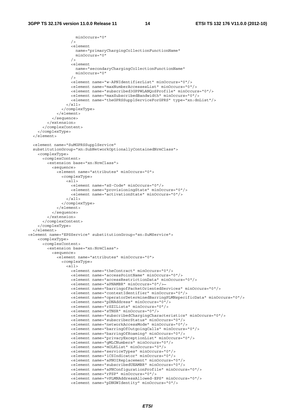```
 minOccurs="0" 
                  / <element 
                     name="primaryChargingCollectionFunctionName" 
                     minOccurs="0" 
 /> 
                   <element 
                     name="secondaryChargingCollectionFunctionName" 
                     minOccurs="0" 
                  / <element name="w-APNIdentifierList" minOccurs="0"/> 
                   <element name="maxNumberAccessesList" minOccurs="0"/> 
                   <element name="subscribed3GPPWLANQoSProfile" minOccurs="0"/> 
                   <element name="maxSubscribedBandwidth" minOccurs="0"/> 
                   <element name="theGPRSSupplServiceForGPRS" type="xn:dnList"/> 
                \langleall\rangle </complexType> 
             </element> 
           </sequence> 
         </extension> 
       </complexContent> 
    </complexType> 
   </element> 
  <element name="SuMGPRSSupplService" 
 substitutionGroup="xn:SubNetworkOptionallyContainedNrmClass"> 
    <complexType> 
      <complexContent> 
         <extension base="xn:NrmClass"> 
          >sequence\sim <element name="attributes" minOccurs="0"> 
               <complexType> 
                \epsilonall\epsilon <element name="sS-Code" minOccurs="0"/> 
                   <element name="provisioningState" minOccurs="0"/> 
                    <element name="activationState" minOccurs="0"/> 
                \langleall\rangle </complexType> 
             </element> 
           </sequence> 
         </extension> 
       </complexContent> 
     </complexType> 
 \epsilon/element>
<element name="EPSService" substitutionGroup="sn:SuMService"> 
    <complexType> 
       <complexContent> 
         <extension base="xn:NrmClass"> 
           <sequence> 
             <element name="attributes" minOccurs="0"> 
               <complexType> 
                 <all> 
                   <element name="theContract" minOccurs="0"/> 
                   <element name="accessPointName" minOccurs="0"/> 
                   <element name="accessRestrictionData" minOccurs="0"/> 
                   <element name="aPNAMBR" minOccurs="0"/> 
                   <element name="barringofPacketOrientedServices" minOccurs="0"/> 
                   <element name="contextIdentifier" minOccurs="0"/> 
                   <element name="operatorDeterminedBarringPLMNspecificData" minOccurs="0"/> 
                   <element name="pDNAddress" minOccurs="0"/> 
                   <element name="rSZILists" minOccurs="0"/> 
                   <element name="sTNSR" minOccurs="0"/> 
                   <element name="subscribedChargingCharacteristics" minOccurs="0"/> 
 <element name="subscriberStatus" minOccurs="0"/> 
 <element name="networkAccessMode" minOccurs="0"/> 
                   <element name="barringOfOutgoingCalls" minOccurs="0"/> 
                   <element name="barringOfRoaming" minOccurs="0"/> 
                   <element name="privacyExceptionList" minOccurs="0"/> 
                   <element name="gMLCNumbers" minOccurs="0"/> 
                   <element name="mOLRList" minOccurs="0"/> 
                   <element name="serviceTypes" minOccurs="0"/> 
                   <element name="iCSIndicator" minOccurs="0"/> 
                   <element name="aPNOIReplacement" minOccurs="0"/> 
                   <element name="subscribedUEAMBR" minOccurs="0"/> 
                   <element name="aPNConfigurationProfile" minOccurs="0"/> 
                   <element name="rFSP" minOccurs="0"/> 
                   <element name="vPLMNAddressAllowed-EPS" minOccurs="0"/> 
                   <element name="pDNGWIdentity" minOccurs="0"/>
```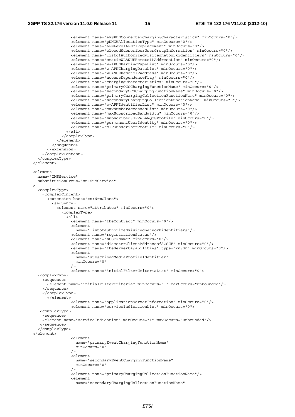<element name="ePSPDNConnectedChargingCharacteristics" minOccurs="0"/> <element name="pDNGWAllocationType" minOccurs="0"/> <element name="aPNLevelAPNOIReplacement" minOccurs="0"/> <element name="closedSubscriberUserGroupInformation" minOccurs="0"/> <element name="listofAuthorizedvisitednetowrkidentifiers" minOccurs="0"/> <element name="staticWLANUERemoteIPAddressList" minOccurs="0"/> <element name="w-APONBarringTypeList" minOccurs="0"/> <element name="w-APNChargingDataList" minOccurs="0"/> <element name="wLANUERemoteIPAddress" minOccurs="0"/> <element name="accessDependenceFlag" minOccurs="0"/> <element name="chargingCharacteristics" minOccurs="0"/> <element name="primaryOCSChargingFunctionName" minOccurs="0"/> <element name="secondaryOCSChargingFunctionName" minOccurs="0"/> <element name="primaryChargingCollectionFunctionName" minOccurs="0"/> <element name="secondaryChargingCollectionFunctionName" minOccurs="0"/> <element name="w-APNIdentifierList" minOccurs="0"/> <element name="maxNumberAccessesList" minOccurs="0"/> <element name="maxSubscribedBandwidth" minOccurs="0"/> <element name="subscribed3GPPWLANQoSProfile" minOccurs="0"/> <element name="permanentUserIdentity" minOccurs="0"/> <element name="mIPSubscriberProfile" minOccurs="0"/> </all> </complexType> </element> </sequence> </extension> </complexContent> </complexType> </element> <element name="IMSService" substitutionGroup="sn:SuMService"  $\rightarrow$  <complexType> <complexContent> <extension base="xn:NrmClass"> <sequence> <element name="attributes" minOccurs="0"> <complexType> <all> <element name="theContract" minOccurs="0"/> <element name="listofauthorizedvisitednetworkidentifiers"/> <element name="registrationStatus"/> <element name="sCSCFName" minOccurs="0"/> <element name="diameterClientAddressofSCSCF" minOccurs="0"/> <element name="theServerCapabilities" type="xn:dn" minOccurs="0"/> <element name="subscribedMediaProfileIdentifier"  $minOccurs = "0"$  /> <element name="initialFilterCriteriaList" minOccurs="0"> <complexType> <sequence> <element name="initialFilterCriteria" minOccurs="1" maxOccurs="unbounded"/> </sequence> </complexType> </element> <element name="applicationServerInformation" minOccurs="0"/> <element name="serviceIndicationList" minOccurs="0"> <complexType> <sequence> <element name="serviceIndication" minOccurs="1" maxOccurs="unbounded"/> </sequence> </complexType> </element> <element name="primaryEventChargingFunctionName" minOccurs="0"  $/$  <element name="secondaryEventChargingFunctionName" minOccurs="0" /> <element name="primaryChargingCollectionFunctionName"/>  $>$ element name="secondaryChargingCollectionFunctionName"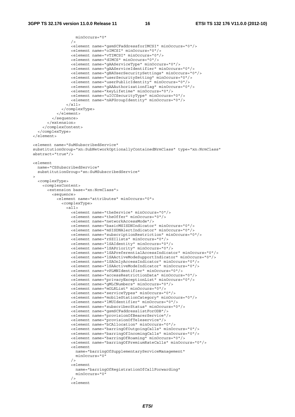```
 minOccurs="0" 
                  / <element name="gsmSCFaddressforIMCSI" minOccurs="0"/> 
                   <element name="oIMCSI" minOccurs="0"/> 
                   <element name="vTIMCSI" minOccurs="0"/> 
                   <element name="dIMCS" minOccurs="0"/> 
                   <element name="gAAServiceType" minOccurs="0"/> 
                   <element name="gAAServiceIdentifier" minOccurs="0"/> 
                   <element name="gBAUserSecuritySettings" minOccurs="0"/> 
                   <element name="userSecuritySetting" minOccurs="0"/> 
                   <element name="userPublicIdentity" minOccurs="0"/> 
                   <element name="gAAAuthorizationflag" minOccurs="0"/> 
                   <element name="keyLifetime" minOccurs="0"/> 
                   <element name="uICCSecurityType" minOccurs="0"/> 
                   <element name="nAFGroupIdentity" minOccurs="0"/> 
                \langleall\rangle </complexType> 
             </element> 
           </sequence> 
         </extension> 
       </complexContent> 
    </complexType> 
   </element> 
  <element name="SuMSubscribedService" 
 substitutionGroup="xn:SubNetworkOptionallyContainedNrmClass" type="xn:NrmClass" 
 abstract="true"/> 
  <element 
    name="CSSubscribedService" 
    substitutionGroup="sn:SuMSubscribedService" 
\rightarrow <complexType> 
       <complexContent> 
         <extension base="xn:NrmClass"> 
           <sequence> 
             <element name="attributes" minOccurs="0"> 
               <complexType> 
                 <all> 
                   <element name="theService" minOccurs="0"/> 
                   <element name="theOffer" minOccurs="0"/> 
                   <element name="networkAccessMode"/> 
                   <element name="basicMSISDNIndicator" minOccurs="0"/> 
                   <element name="mSISDNAlertIndicator" minOccurs="0"/> 
                   <element name="subscriptionRestriction" minOccurs="0"/> 
                   <element name="rSZIlists" minOccurs="0"/> 
                   <element name="lSAIdentity" minOccurs="0"/> 
                   <element name="lSAPriority" minOccurs="0"/> 
                   <element name="lSAPreferentialAccessIndicator" minOccurs="0"/> 
                   <element name="lSAActiveModeSupportIndicator" minOccurs="0"/> 
                   <element name="lSAOnlyAccessIndicator" minOccurs="0"/> 
                   <element name="lSAActiveModeIndicator" minOccurs="0"/> 
                   <element name="vPLMNIdentifier" minOccurs="0"/> 
                   <element name="accessRestrictionData" minOccurs="0"/> 
                   <element name="privacyExceptionList" minOccurs="0"/> 
                   <element name="gMLCNumbers" minOccurs="0"/> 
                   <element name="mOLRList" minOccurs="0"/> 
                   <element name="serviceTypes" minOccurs="0"/> 
                   <element name="mobileStationCategory" minOccurs="0"/> 
                   <element name="lMUIdentifier" minOccurs="0"/> 
                   <element name="subscriberStatus" minOccurs="0"/> 
                   <element name="gsmSCFaddresslistForODB"/> 
                   <element name="provisionOfBearerService"/> 
                   <element name="provisionOfTeleservice"/> 
                   <element name="bCAllocation" minOccurs="0"/> 
                   <element name="barringOfOutgoingCalls" minOccurs="0"/> 
                   <element name="barringOfIncomingCalls" minOccurs="0"/> 
                   <element name="barringOfRoaming" minOccurs="0"/> 
                   <element name="barringOfPremiumRateCalls" minOccurs="0"/> 
                   <element 
                     name="barringOfSupplementaryServiceManagement" 
                     minOccurs="0" 
                  / <element 
                     name="barringOfRegistrationOfCallForwarding" 
                     minOccurs="0" 
 /> 
                   <element
```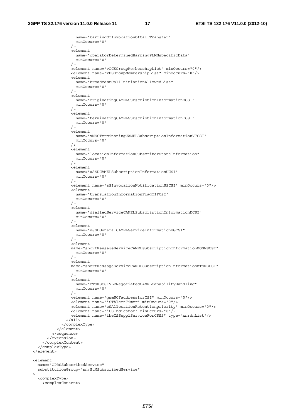$\rightarrow$ 

```
 name="barringOfInvocationOfCallTransfer" 
                    minOccurs="0" 
                  / <element 
                    name="operatorDeterminedBarringPLMNspecificData" 
                    minOccurs="0" 
 /> 
                   <element name="vGCSGroupMembershipList" minOccurs="0"/> 
                   <element name="vBSGroupMembershipList" minOccurs="0"/> 
                   <element 
                    name="broadcastCallInitiationAllowedList" 
                    minOccurs="0" 
                  / <element 
                    name="originatingCAMELSubscriptionInformationOCSI" 
                    minOccurs="0" 
 /> 
                   <element 
                    name="terminatingCAMELSubscriptionInformationTCSI" 
                    minOccurs="0" 
                  / <element 
                    name="vMSCTerminatingCAMELSubscriptionInformationVTCSI" 
                    minOccurs="0" 
 /> 
                   <element 
                    name="locationInformationSubscriberStateInformation" 
                    minOccurs="0" 
                  /\geq \alphalement
                    name="uSSDCAMELSubscriptionInformationUCSI" 
                    minOccurs="0" 
                  / <element name="sSInvocationNotificationSSCSI" minOccurs="0"/> 
                   <element 
                    name="translationInformationFlagTIFCSI" 
                    minOccurs="0" 
 /> 
                   <element 
                    name="dialledServiceCAMELSubscriptionInformationDCSI" 
                    minOccurs="0" 
                  / <element 
                    name="uSSDGeneralCAMELServiceInformationUGCSI" 
                    minOccurs="0" 
 /> 
                   <element 
                   name="shortMessageServiceCAMELSubscriptionInformationMOSMSCSI" 
                    minOccurs="0" 
                  / <element 
                  name="shortMessageServiceCAMELSubscriptionInformationMTSMSCSI" 
                    minOccurs="0" 
 /> 
                   <element 
                    name="mTSMSCSIVLRNegotiatedCAMELCapabilityHandling" 
                    minOccurs="0" 
 /> 
                   <element name="gsmSCFaddressforCSI" minOccurs="0"/> 
                   <element name="iSTAlertTimer" minOccurs="0"/> 
                   <element name="cSAllocationRetentionpriority" minOccurs="0"/> 
                   <element name="iCSIndicator" minOccurs="0"/> 
                   <element name="theCSSupplServiceForCSSS" type="xn:dnList"/> 
                \langleall\rangle </complexType> 
             </element> 
           </sequence> 
        </extension> 
      </complexContent> 
    </complexType> 
  </element> 
  <element 
    name="GPRSSubscribedService" 
    substitutionGroup="sn:SuMSubscribedService" 
    <complexType> 
      <complexContent>
```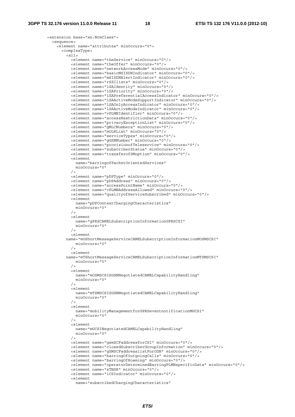```
 <extension base="xn:NrmClass"> 
           <sequence> 
             <element name="attributes" minOccurs="0"> 
               <complexType> 
                <all> <element name="theService" minOccurs="0"/> 
                   <element name="theOffer" minOccurs="0"/> 
                   <element name="networkAccessMode" minOccurs="0"/> 
                   <element name="basicMSISDNIndicator" minOccurs="0"/> 
                   <element name="mSISDNAlertIndicator" minOccurs="0"/> 
                   <element name="rSZIlists" minOccurs="0"/> 
                   <element name="lSAIdentity" minOccurs="0"/> 
                   <element name="lSAPriority" minOccurs="0"/> 
                   <element name="lSAPreferentialAccessIndicator" minOccurs="0"/> 
                   <element name="lSAActiveModeSupportIndicator" minOccurs="0"/> 
                   <element name="lSAOnlyAccessIndicator" minOccurs="0"/> 
                   <element name="lSAActiveModeIndicator" minOccurs="0"/> 
                   <element name="vPLMNIdentifier" minOccurs="0"/> 
                   <element name="accessRestrictionData" minOccurs="0"/> 
                   <element name="privacyExceptionList" minOccurs="0"/> 
                   <element name="gMLCNumbers" minOccurs="0"/> 
                   <element name="mOLRList" minOccurs="0"/> 
                   <element name="serviceTypes" minOccurs="0"/> 
                   <element name="gGSNNumber" minOccurs="0"/> 
                   <element name="provisionofTeleservice" minOccurs="0"/> 
                   <element name="subscriberStatus" minOccurs="0"/> 
                   <element name="transferofSMoption" minOccurs="0"/> 
                   <element 
                    name="barringofPacketOrientedServices" 
                    minOccurs="0" 
                  \frac{1}{2} <element name="pDPType" minOccurs="0"/> 
                   <element name="pDPAddress" minOccurs="0"/> 
                   <element name="accessPointName" minOccurs="0"/> 
                   <element name="vPLMNAddressAllowed" minOccurs="0"/> 
                   <element name="qualityofServiceSubscribed" minOccurs="0"/> 
                   <element 
                    name="pDPContextChargingCharacteristics" 
                    minOccurs="0" 
 /> 
                   <element 
                    name="gPRSCAMELSubscriptionInformationGPRSCSI" 
                    minOccurs="0" 
                  / <element 
                 name="mOShortMessageServiceCAMELSubscriptionInformationMOSMSCSI" 
                    minOccurs="0" 
 /> 
                   <element 
                 name="mTShortMessageServiceCAMELSubscriptionInformationMTSMSCSI" 
                    minOccurs="0" 
 /> 
                   <element 
                    name="mOSMSCSISGSNNegotiatedCAMELCapabilityHandling" 
                    minOccurs="0" 
                  / <element 
                    name="mTSMSCSISGSNNegotiatedCAMELCapabilityHandling" 
                    minOccurs="0" 
 /> 
                   <element 
                    name="mobilityManagementforGPRSeventnotificationMGCSI" 
                    minOccurs="0" 
 /> 
                   <element 
                    name="mGCSINegotiatedCAMELCapabilityHandling" 
                     minOccurs="0" 
                  / <element name="gsmSCFaddressforCSI" minOccurs="0"/> 
                   <element name="closedSubscriberGroupInformation" minOccurs="0"/> 
                   <element name="gSMSCFaddresslistForODB" minOccurs="0"/> 
                   <element name="barringOfOutgoingCalls" minOccurs="0"/> 
                   <element name="barringOfRoaming" minOccurs="0"/> 
                   <element name="operatorDeterminedBarringPLMNspecificData" minOccurs="0"/> 
                   <element name="sTNSR" minOccurs="0"/> 
                   <element name="iCSIndicator" minOccurs="0"/> 
                  \geqelement
                     name="subscribedChargingCharacteristics"
```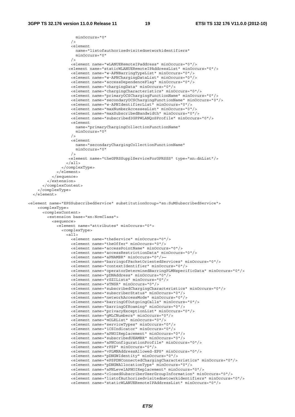```
 minOccurs="0" 
                  / <element 
                     name="listofauthorizedvisitednetworkidentifiers" 
                     minOccurs="0" 
 /> 
                   <element name="wLANUERemoteIPaddress" minOccurs="0"/> 
                  <element name="staticWLANUERemoteIPAddressList" minOccurs="0"/> 
                   <element name="w-APNBarringTypeList" minOccurs="0"/> 
                   <element name="w-APNChargingDataList" minOccurs="0"/> 
                   <element name="accessDependenceFlag" minOccurs="0"/> 
                   <element name="chargingData" minOccurs="0"/> 
                   <element name="chargingCharacteristics" minOccurs="0"/> 
                   <element name="primaryOCSChargingFunctionName" minOccurs="0"/> 
                   <element name="secondaryOCSChargingFunctionName" minOccurs="0"/> 
                   <element name="w-APNIdentifierList" minOccurs="0"/> 
 <element name="maxNumberAccessesList" minOccurs="0"/> 
 <element name="maxSubscribedBandwidth" minOccurs="0"/> 
                   <element name="subscribed3GPPWLANQoSProfile" minOccurs="0"/> 
                   <element 
                    name="primaryChargingCollectionFunctionName" 
                     minOccurs="0" 
                  / <element 
                     name="secondaryChargingCollectionFunctionName" 
                     minOccurs="0" 
 /> 
                  <element name="theGPRSSupplServiceForGPRSSS" type="xn:dnList"/> 
                 </all> 
               </complexType> 
             </element> 
           </sequence> 
         </extension> 
       </complexContent> 
     </complexType> 
   </element> 
<element name="EPSSubscribedService" substitutionGroup="sn:SuMSubscribedService"> 
     <complexType> 
       <complexContent> 
         <extension base="xn:NrmClass"> 
           <sequence> 
             <element name="attributes" minOccurs="0"> 
               <complexType> 
                \leqall\geq <element name="theService" minOccurs="0"/> 
                   <element name="theOffer" minOccurs="0"/> 
                   <element name="accessPointName" minOccurs="0"/> 
                   <element name="accessRestrictionData" minOccurs="0"/> 
                   <element name="aPNAMBR" minOccurs="0"/> 
                   <element name="barringofPacketOrientedServices" minOccurs="0"/> 
                   <element name="contextIdentifier" minOccurs="0"/> 
                   <element name="operatorDeterminedBarringPLMNspecificData" minOccurs="0"/> 
                   <element name="pDNAddress" minOccurs="0"/> 
                   <element name="rSZILists" minOccurs="0"/> 
                   <element name="sTNSR" minOccurs="0"/> 
                   <element name="subscribedChargingCharacteristics" minOccurs="0"/> 
                   <element name="subscriberStatus" minOccurs="0"/> 
                   <element name="networkAccessMode" minOccurs="0"/> 
                   <element name="barringOfOutgoingCalls" minOccurs="0"/> 
                   <element name="barringOfRoaming" minOccurs="0"/> 
                   <element name="privacyExceptionList" minOccurs="0"/> 
                   <element name="gMLCNumbers" minOccurs="0"/> 
                   <element name="mOLRList" minOccurs="0"/> 
                   <element name="serviceTypes" minOccurs="0"/> 
                   <element name="iCSIndicator" minOccurs="0"/> 
                   <element name="aPNOIReplacement" minOccurs="0"/> 
                   <element name="subscribedUEAMBR" minOccurs="0"/> 
                   <element name="aPNConfigurationProfile" minOccurs="0"/> 
                   <element name="rFSP" minOccurs="0"/> 
                   <element name="vPLMNAddressAllowed-EPS" minOccurs="0"/> 
                   <element name="pDNGWIdentity" minOccurs="0"/> 
                   <element name="ePSPDNConnectedChargingCharacteristics" minOccurs="0"/> 
                   <element name="pDNGWAllocationType" minOccurs="0"/> 
                   <element name="aPNLevelAPNOIReplacement" minOccurs="0"/> 
                   <element name="closedSubscriberUserGroupInformation" minOccurs="0"/> 
                   <element name="listofAuthorizedvisitednetowrkidentifiers" minOccurs="0"/> 
                   <element name="staticWLANUERemoteIPAddressList" minOccurs="0"/>
```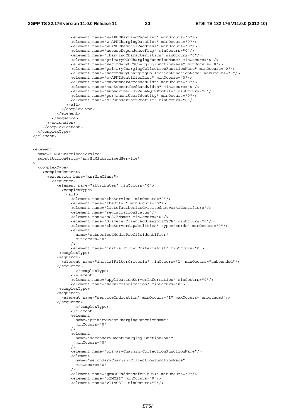```
 <element name="w-APONBarringTypeList" minOccurs="0"/> 
                   <element name="w-APNChargingDataList" minOccurs="0"/> 
                   <element name="wLANUERemoteIPAddress" minOccurs="0"/> 
                   <element name="accessDependenceFlag" minOccurs="0"/> 
                   <element name="chargingCharacteristics" minOccurs="0"/> 
                   <element name="primaryOCSChargingFunctionName" minOccurs="0"/> 
                   <element name="secondaryOCSChargingFunctionName" minOccurs="0"/> 
                   <element name="primaryChargingCollectionFunctionName" minOccurs="0"/> 
                   <element name="secondaryChargingCollectionFunctionName" minOccurs="0"/> 
                   <element name="w-APNIdentifierList" minOccurs="0"/> 
                   <element name="maxNumberAccessesList" minOccurs="0"/> 
                   <element name="maxSubscribedBandwidth" minOccurs="0"/> 
                   <element name="subscribed3GPPWLANQoSProfile" minOccurs="0"/> 
                   <element name="permanentUserIdentity" minOccurs="0"/> 
                   <element name="mIPSubscriberProfile" minOccurs="0"/> 
                \langleall\rangle </complexType> 
             </element> 
           </sequence> 
         </extension> 
       </complexContent> 
    </complexType> 
  </element> 
  <element 
    name="IMSSubscribedService" 
    substitutionGroup="sn:SuMSubscribedService" 
\rightarrow <complexType> 
       <complexContent> 
         <extension base="xn:NrmClass"> 
           <sequence> 
             <element name="attributes" minOccurs="0"> 
               <complexType> 
                 <all> 
                   <element name="theService" minOccurs="0"/> 
                   <element name="theOffer" minOccurs="0"/> 
                   <element name="listofauthorizedvisitednetworkidentifiers"/> 
                   <element name="registrationStatus"/> 
                   <element name="sCSCFName" minOccurs="0"/> 
                   <element name="diameterClientAddressofSCSCF" minOccurs="0"/> 
                   <element name="theServerCapabilities" type="xn:dn" minOccurs="0"/> 
                   <element 
                     name="subscribedMediaProfileIdentifier" 
                     minOccurs="0" 
                  / <element name="initialFilterCriteriaList" minOccurs="0"> 
              <complexType> 
             <sequence> 
               <element name="initialFilterCriteria" minOccurs="1" maxOccurs="unbounded"/> 
             </sequence> 
                     </complexType> 
                    </element> 
                   <element name="applicationServerInformation" minOccurs="0"/> 
                   <element name="serviceIndication" minOccurs="0"> 
              <complexType> 
             <sequence> 
               <element name="serviceIndication" minOccurs="1" maxOccurs="unbounded"/> 
             </sequence> 
                     </complexType> 
                    </element> 
                   <element 
                     name="primaryEventChargingFunctionName" 
                     minOccurs="0" 
                  / <element 
                     name="secondaryEventChargingFunctionName" 
                     minOccurs="0" 
 /> 
                   <element name="primaryChargingCollectionFunctionName"/> 
                   <element 
                     name="secondaryChargingCollectionFunctionName" 
                     minOccurs="0" 
 /> 
                   <element name="gsmSCFaddressforIMCSI" minOccurs="0"/> 
                   <element name="oIMCSI" minOccurs="0"/> 
                   <element name="vTIMCSI" minOccurs="0"/>
```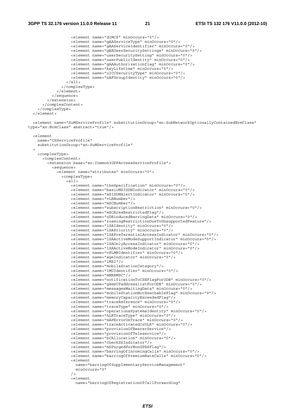```
 <element name="dIMCS" minOccurs="0"/> 
                    <element name="gAAServiceType" minOccurs="0"/> 
                    <element name="gAAServiceIdentifier" minOccurs="0"/> 
                    <element name="gBAUserSecuritySettings" minOccurs="0"/> 
                    <element name="userSecuritySetting" minOccurs="0"/> 
                    <element name="userPublicIdentity" minOccurs="0"/> 
                    <element name="gAAAuthorizationflag" minOccurs="0"/> 
                    <element name="keyLifetime" minOccurs="0"/> 
                    <element name="uICCSecurityType" minOccurs="0"/> 
                    <element name="nAFGroupIdentity" minOccurs="0"/> 
                  </all> 
               </complexType> 
             </element> 
           </sequence> 
         </extension> 
       </complexContent> 
     </complexType> 
  \epsilon/element>
   <element name="SuMServiceProfile" substitutionGroup="xn:SubNetworkOptionallyContainedNrmClass" 
type="xn:NrmClass" abstract="true"/> 
   <element 
    name="CSServiceProfile" 
     substitutionGroup="sn:SuMServiceProfile" 
\rightarrow <complexType> 
       <complexContent> 
         <extension base="sn:Common3GPPAccessServiceProfile"> 
          >sequence\sim <element name="attributes" minOccurs="0"> 
               <complexType> 
                 \overline{c} <element name="theSpecification" minOccurs="0"/> 
                    <element name="basicMSISDNIndicator" minOccurs="0"/> 
                    <element name="mSISDNAlertIndicator" minOccurs="0"/> 
                    <element name="vLRNumber"/> 
                    <element name="mSCNumber"/> 
                    <element name="subscriptionRestriction" minOccurs="0"/> 
                    <element name="mSCAreaRestrictedFlag"/> 
                    <element name="oDBinducedBarringData" minOccurs="0"/> 
                    <element name="roamingRestrictionDueToUnsupportedFeature"/> 
                    <element name="lSAIdentity" minOccurs="0"/> 
                    <element name="lSAPriority" minOccurs="0"/> 
                    <element name="lSAPreferentialAccessIndicator" minOccurs="0"/> 
                    <element name="lSAActiveModeSupportIndicator" minOccurs="0"/> 
                    <element name="lSAOnlyAccessIndicator" minOccurs="0"/> 
                    <element name="lSAActiveModeIndicator" minOccurs="0"/> 
                    <element name="vPLMNIdentifier" minOccurs="0"/> 
                    <element name="ageIndicator" minOccurs="0"/> 
                    <element name="lMSI"/> 
                    <element name="mobileStationCategory"/> 
                    <element name="lMUIdentifier" minOccurs="0"/> 
                    <element name="mNRRMSC"/> 
                    <element name="notificationToCSEFlagForODB" minOccurs="0"/> 
                    <element name="gsmSCFaddresslistForODB" minOccurs="0"/> 
                    <element name="messagesWaitingData" minOccurs="0"/> 
                    <element name="mobileStationNotReachableFlag" minOccurs="0"/> 
                    <element name="memoryCapacityExceededFlag"/> 
                    <element name="traceReference" minOccurs="0"/> 
                    <element name="traceType" minOccurs="0"/> 
                    <element name="operationsSystemsIdentity" minOccurs="0"/> 
                    <element name="hLRTraceType" minOccurs="0"/> 
                    <element name="mAPErrorOnTrace" minOccurs="0"/> 
                    <element name="traceActivatedInVLR" minOccurs="0"/> 
                    <element name="provisionOfBearerService"/> 
                    <element name="provisionOfTeleservice"/> 
                    <element name="bCAllocation" minOccurs="0"/> 
                    <element name="checkSSIndicator"/> 
                    <element name="mSPurgedForNonGPRSFlag"/> 
                    <element name="barringOfIncomingCalls" minOccurs="0"/> 
                    <element name="barringOfPremiumRateCalls" minOccurs="0"/> 
                    <element 
                     name="barringOfSupplementaryServiceManagement" 
                      minOccurs="0" 
                   /\geq \alphalement
                      name="barringOfRegistrationOfCallForwarding"
```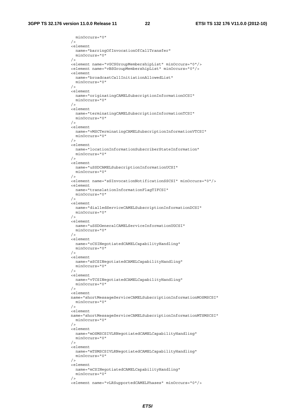minOccurs="0"

```
/ <element 
                    name="barringOfInvocationOfCallTransfer" 
                    minOccurs="0" 
 /> 
                  <element name="vGCSGroupMembershipList" minOccurs="0"/> 
                  <element name="vBSGroupMembershipList" minOccurs="0"/> 
                  <element 
                    name="broadcastCallInitiationAllowedList" 
                    minOccurs="0" 
 /> 
                  <element 
                    name="originatingCAMELSubscriptionInformationOCSI" 
                    minOccurs="0" 
                 / <element 
                    name="terminatingCAMELSubscriptionInformationTCSI" 
                    minOccurs="0" 
                 / <element 
                    name="vMSCTerminatingCAMELSubscriptionInformationVTCSI" 
                    minOccurs="0" 
                 / <element 
                    name="locationInformationSubscriberStateInformation" 
                    minOccurs="0" 
 /> 
                  <element 
                    name="uSSDCAMELSubscriptionInformationUCSI" 
                    minOccurs="0" 
                 / <element name="sSInvocationNotificationSSCSI" minOccurs="0"/> 
                  <element 
                    name="translationInformationFlagTIFCSI" 
                    minOccurs="0" 
                 / <element 
                    name="dialledServiceCAMELSubscriptionInformationDCSI" 
                    minOccurs="0" 
 /> 
                  <element 
                    name="uSSDGeneralCAMELServiceInformationUGCSI" 
                    minOccurs="0" 
                 / <element 
                    name="oCSINegotiatedCAMELCapabilityHandling" 
                    minOccurs="0" 
                 / <element 
                    name="sSCSINegotiatedCAMELCapabilityHandling" 
                    minOccurs="0" 
 /> 
                  <element 
                    name="vTCSINegotiatedCAMELCapabilityHandling" 
                    minOccurs="0" 
                  /> 
                  <element 
                  name="shortMessageServiceCAMELSubscriptionInformationMOSMSCSI" 
                    minOccurs="0" 
                 / <element 
                  name="shortMessageServiceCAMELSubscriptionInformationMTSMSCSI" 
                    minOccurs="0" 
 /> 
                  <element 
                    name="mOSMSCSIVLRNegotiatedCAMELCapabilityHandling" 
                    minOccurs="0" 
                 / <element 
                    name="mTSMSCSIVLRNegotiatedCAMELCapabilityHandling" 
                    minOccurs="0" 
                 / <element 
                    name="mCSINegotiatedCAMELCapabilityHandling" 
                    minOccurs="0" 
 /> 
                  <element name="vLRSupportedCAMELPhases" minOccurs="0"/>
```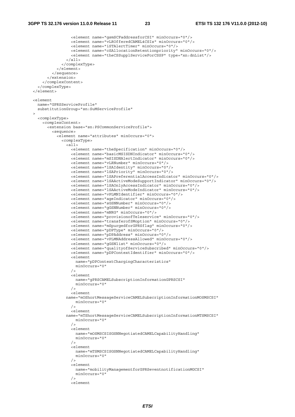<element name="gsmSCFaddressforCSI" minOccurs="0"/> <element name="vLROfferedCAMEL4CSIs" minOccurs="0"/> <element name="iSTAlertTimer" minOccurs="0"/> <element name="cSAllocationRetentionpriority" minOccurs="0"/> <element name="theCSSupplServiceForCSSP" type="xn:dnList"/>  $\langle$ all $\rangle$  </complexType> </element> </sequence> </extension> </complexContent> </complexType> </element> <element name="GPRSServiceProfile" substitutionGroup="sn:SuMServiceProfile"  $\rightarrow$  <complexType> <complexContent> <extension base="sn:PSCommonServiceProfile"> <sequence> <element name="attributes" minOccurs="0"> <complexType>  $\leq$  alls <element name="theSpecification" minOccurs="0"/> <element name="basicMSISDNIndicator" minOccurs="0"/> <element name="mSISDNAlertIndicator" minOccurs="0"/> <element name="vLRNumber" minOccurs="0"/> <element name="lSAIdentity" minOccurs="0"/> <element name="lSAPriority" minOccurs="0"/> <element name="lSAPreferentialAccessIndicator" minOccurs="0"/> <element name="lSAActiveModeSupportIndicator" minOccurs="0"/> <element name="lSAOnlyAccessIndicator" minOccurs="0"/> <element name="lSAActiveModeIndicator" minOccurs="0"/> <element name="vPLMNIdentifier" minOccurs="0"/> <element name="ageIndicator" minOccurs="0"/> <element name="sGSNNumber" minOccurs="0"/> <element name="gGSNNumber" minOccurs="0"/> <element name="mNRG" minOccurs="0"/> <element name="provisionofTeleservice" minOccurs="0"/> <element name="transferofSMoption" minOccurs="0"/> <element name="mSpurgedforGPRSflag" minOccurs="0"/> <element name="pDPType" minOccurs="0"/> <element name="pDPAddress" minOccurs="0"/> <element name="vPLMNAddressAllowed" minOccurs="0"/> <element name="gGSNlist" minOccurs="0"/> <element name="qualityofServiceSubscribed" minOccurs="0"/> <element name="pDPContextIdentifier" minOccurs="0"/> <element name="pDPContextChargingCharacteristics" minOccurs="0" /> <element name="gPRSCAMELSubscriptionInformationGPRSCSI" minOccurs="0" /> <element name="mOShortMessageServiceCAMELSubscriptionInformationMOSMSCSI" minOccurs="0"  $/$  <element name="mTShortMessageServiceCAMELSubscriptionInformationMTSMSCSI" minOccurs="0" /> <element name="mOSMSCSISGSNNegotiatedCAMELCapabilityHandling" minOccurs="0"  $/$  <element name="mTSMSCSISGSNNegotiatedCAMELCapabilityHandling" minOccurs="0"  $/$  <element name="mobilityManagementforGPRSeventnotificationMGCSI" minOccurs="0" /> <element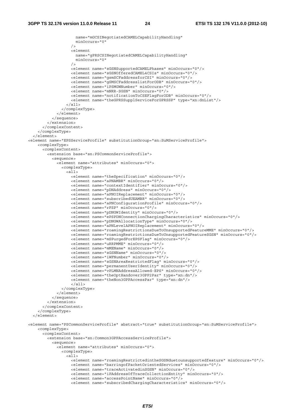```
 name="mGCSINegotiatedCAMELCapabilityHandling" 
                     minOccurs="0" 
 /> 
                   <element 
                     name="gPRSCSINegotiatedCAMELCapabilityHandling" 
                     minOccurs="0" 
 /> 
                   <element name="sGSNSupportedCAMELPhases" minOccurs="0"/> 
                   <element name="sGSNOfferedCAMEL4CSIs" minOccurs="0"/> 
                   <element name="gsmSCFaddressforCSI" minOccurs="0"/> 
                   <element name="gSMSCFaddresslistForODB" minOccurs="0"/> 
                   <element name="iPSMGWNumber" minOccurs="0"/> 
                   <element name="mNRR-SGSN" minOccurs="0"/> 
                   <element name="notificationToCSEFlagForODB" minOccurs="0"/> 
                   <element name="theGPRSSupplServiceForGPRSSP" type="xn:dnList"/> 
                \langleall\rangle </complexType> 
             </element> 
           </sequence> 
         </extension> 
       </complexContent> 
     </complexType> 
   </element> 
<element name="EPSServiceProfile" substitutionGroup="sn:SuMServiceProfile"> 
     <complexType> 
       <complexContent> 
         <extension base="sn:PSCommonServiceProfile"> 
           <sequence> 
             <element name="attributes" minOccurs="0"> 
               <complexType> 
                 <all> 
                   <element name="theSpecification" minOccurs="0"/> 
                   <element name="aPNAMBR" minOccurs="0"/> 
                   <element name="contextIdentifier" minOccurs="0"/> 
                   <element name="pDNAddress" minOccurs="0"/> 
                   <element name="aPNOIReplacement" minOccurs="0"/> 
                   <element name="subscribedUEAMBR" minOccurs="0"/> 
                   <element name="aPNConfigurationProfile" minOccurs="0"/> 
                   <element name="rFSP" minOccurs="0"/> 
                   <element name="pDNGWIdentity" minOccurs="0"/> 
                   <element name="ePSPDNConnectionChargingCharacteristics" minOccurs="0"/> 
                   <element name="pDNGWAllocationType" minOccurs="0"/> 
                   <element name="aPNLevelAPNOIReplacement" minOccurs="0"/> 
                   <element name="roamingRestrictionsDueToUnsupportedFeatureMME" minOccurs="0"/> 
                   <element name="roamingRestrictionsDueToUnsupportedFeatureSGSN" minOccurs="0"/> 
 <element name="mSPurgedForEPSFlag" minOccurs="0"/> 
 <element name="uRRPMME" minOccurs="0"/> 
                   <element name="mMEName" minOccurs="0"/> 
                   <element name="sGSNName" minOccurs="0"/> 
                   <element name="iWFNumber" minOccurs="0"/> 
                   <element name="sGSNAreaRestrictedFlag" minOccurs="0"/> 
                   <element name="permanentUserIdentity" minOccurs="0"/> 
                   <element name="vPLMNAddressAllowed-EPS" minOccurs="0"/> 
                   <element name="theOptHandover3GPP2Par" type="xn:dn"/> 
                   <element name="theNon3GPPAccessPar" type="xn:dn"/> 
                  \epsilon/all\epsilon </complexType> 
             </element> 
           </sequence> 
         </extension> 
       </complexContent> 
     </complexType> 
   </element> 
<element name="PSCommonServiceProfile" abstract="true" substitutionGroup="sn:SuMServiceProfile"> 
     <complexType> 
       <complexContent> 
         <extension base="sn:Common3GPPAccessServiceProfile"> 
           <sequence> 
             <element name="attributes" minOccurs="0"> 
               <complexType> 
                \alpha<sup>1</sup>
                   <element name="roamingRestrictedintheSGSNduetounsupportedfeature" minOccurs="0"/> 
                   <element name="barringofPacketOrientedServices" minOccurs="0"/> 
                   <element name="traceActivatedinSGSN" minOccurs="0"/> 
                   <element name="iPAddressOfTraceCollectionEntity" minOccurs="0"/> 
                   <element name="accessPointName" minOccurs="0"/> 
                   <element name="subscribedChargingCharacteristics" minOccurs="0"/>
```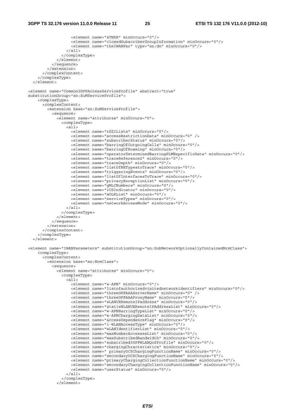```
 <element name="sTNSR" minOccurs="0"/> 
                    <element name="closedSubscriberGroupInformation" minOccurs="0"/> 
                    <element name="theIWANPar" type="xn:dn" minOccurs="0"/> 
                 \langleall\rangle </complexType> 
              </element> 
           </sequence> 
         </extension> 
       </complexContent> 
     </complexType> 
   </element> 
<element name="Common3GPPAccessServiceProfile" abstract="true" 
substitutionGroup="sn:SuMServiceProfile"> 
     <complexType> 
       <complexContent> 
         <extension base="sn:SuMServiceProfile"> 
           <sequence> 
              <element name="attributes" minOccurs="0"> 
                <complexType> 
                 \overline{c}all\overline{c} <element name="rSZILists" minOccurs="0"/> 
                    <element name="accessRestrictionData" minOccurs="0" /> 
                    <element name="subscriberStatus" minOccurs="0"/> 
                    <element name="barringOfOutgoingCalls" minOccurs="0"/> 
                    <element name="barringOfRoaming" minOccurs="0"/> 
                    <element name="operatorDeterminedBarringPLMNspecificData" minOccurs="0"/> 
                    <element name="traceReference2" minOccurs="0"/> 
                    <element name="traceDepth" minOccurs="0"/> 
                    <element name="listOfNETypestoTrace" minOccurs="0"/> 
                    <element name="triggeringEvents" minOccurs="0"/> 
                    <element name="listOfInterfacesToTrace" minOccurs="0"/> 
                    <element name="privacyExceptionList" minOccurs="0"/> 
                    <element name="gMLCNumbers" minOccurs="0"/> 
                    <element name="iCSIndicator" minOccurs="0"/> 
                    <element name="mOLRList" minOccurs="0"/> 
                    <element name="serviceTypes" minOccurs="0"/> 
                    <element name="networkAccessMode" minOccurs="0"/> 
                 \langleall\rangle </complexType> 
              </element> 
           </sequence> 
         </extension> 
       </complexContent> 
     </complexType> 
   </element> 
<element name="IWANParameters" substitutionGroup="xn:SubNetworkOptionallyContainedNrmClass"> 
     <complexType> 
       <complexContent> 
         <extension base="xn:NrmClass"> 
           <sequence> 
              <element name="attributes" minOccurs="0"> 
                <complexType> 
                 \overline{c} <element name="w-APN" minOccurs="0"/> 
                    <element name="listofauthorizedvisitednetworkidentifiers" minOccurs="0"/> 
                    <element name="threeGPPAAAServerName" minOccurs="0" /> 
                    <element name="threeGPPAAAProxyName" minOccurs="0"/> 
                    <element name="wLANUERemoteIPaddress" minOccurs="0"/> 
                    <element name="statisWLANUERemoteIPAddressList" minOccurs="0"/> 
                    <element name="w-APNBarringTypeList" minOccurs="0"/> 
                    <element name="w-APNChargingDataList" minOccurs="0"/> 
                    <element name="accessDependenceFlag" minOccurs="0"/> 
                    <element name="i-WLANAccessType" minOccurs="0"/> 
                    <element name="wLANIdentifierList" minOccurs="0"/> 
                    <element name="maxNumberAccessesList" minOccurs="0"/> 
                    <element name="maxSubscribedBandwidth" minOccurs="0"/> 
                    <element name="subscribed3GPPWLANQoSProfile" minOccurs="0"/> 
                    <element name="chargingChracteristics" minOccurs="0"/> 
                    <element name=" primaryOCSChargingFunctionName" minOccurs="0"/> 
                    <element name="secondaryOCSChargingFunctionName" minOccurs="0"/> 
                    <element name="primaryChargingCollectionFunctionName" minOccurs="0"/> 
                    <element name="secondaryChargingCollectionFunctionName" minOccurs="0"/> 
                    <element name="userStatus" minOccurs="0"/> 
                 \epsilon/all> </complexType> 
              </element>
```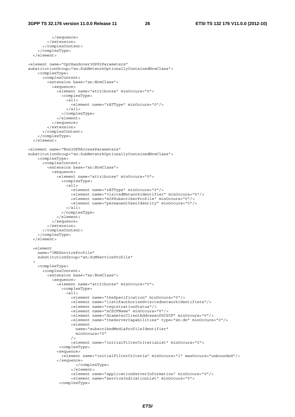```
 </sequence> 
         </extension> 
       </complexContent> 
     </complexType> 
   </element> 
<element name="OptHandover3GPP2Parameters" 
substitutionGroup="xn:SubNetworkOptionallyContainedNrmClass"> 
     <complexType> 
       <complexContent> 
         <extension base="xn:NrmClass"> 
           <sequence> 
              <element name="attributes" minOccurs="0"> 
                <complexType> 
                 <sub>all></sub></sub>
                    <element name="rATType" minOccurs="0"/> 
                  </all> 
                </complexType> 
              </element> 
            </sequence> 
         </extension> 
       </complexContent> 
     </complexType> 
   </element> 
<element name="Non3GPPAccessParameters" 
substitutionGroup="xn:SubNetworkOptionallyContainedNrmClass"> 
     <complexType> 
       <complexContent> 
         <extension base="xn:NrmClass"> 
           <sequence> 
              <element name="attributes" minOccurs="0"> 
                <complexType> 
                  <all> 
                    <element name="rATType" minOccurs="0"/> 
                    <element name="visitedNetworkIdentifier" minOccurs="0"/> 
                    <element name="mIPSubscriberProfile" minOccurs="0"/> 
                    <element name="permanentUserIdentity" minOccurs="0"/> 
                 \langleall> </complexType> 
              </element> 
           </sequence> 
         </extension> 
       </complexContent> 
     </complexType> 
   </element> 
   <element 
     name="IMSServiceProfile" 
     substitutionGroup="sn:SuMServiceProfile" 
  \rightarrow <complexType> 
       <complexContent> 
         <extension base="xn:NrmClass"> 
           <sequence> 
              <element name="attributes" minOccurs="0"> 
                <complexType> 
                  <all> 
                    <element name="theSpecification" minOccurs="0"/> 
                    <element name="listofauthorizedvisitednetworkidentifiers"/> 
                    <element name="registrationStatus"/> 
                    <element name="sCSCFName" minOccurs="0"/> 
                    <element name="diameterClientAddressofSCSCF" minOccurs="0"/> 
                    <element name="theServerCapabilities" type="xn:dn" minOccurs="0"/> 
                    <element 
                      name="subscribedMediaProfileIdentifier" 
                       minOccurs="0" 
                   / <element name="initialFilterCriteriaList" minOccurs="0"> 
               <complexType> 
              <sequence> 
                <element name="initialFilterCriteria" minOccurs="1" maxOccurs="unbounded"/> 
              </sequence> 
                       </complexType> 
                     </element> 
                    <element name="applicationServerInformation" minOccurs="0"/> 
                    <element name="serviceIndicationList" minOccurs="0"> 
               <complexType>
```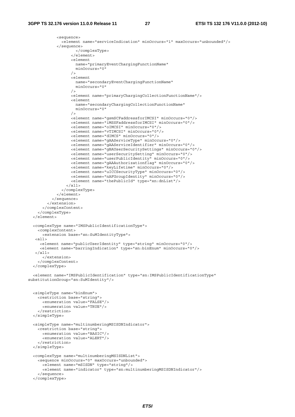```
 <sequence> 
                <element name="serviceIndication" minOccurs="1" maxOccurs="unbounded"/> 
              </sequence> 
                      </complexType> 
                    </element> 
                    <element 
                      name="primaryEventChargingFunctionName" 
                      minOccurs="0" 
                   / <element 
                      name="secondaryEventChargingFunctionName" 
                      minOccurs="0" 
                   / <element name="primaryChargingCollectionFunctionName"/> 
                    <element 
                     name="secondaryChargingCollectionFunctionName" 
                      minOccurs="0" 
                   / <element name="gsmSCFaddressforIMCSI" minOccurs="0"/> 
                    <element name="iMSSFaddressforIMCSI" minOccurs="0"/> 
                    <element name="oIMCSI" minOccurs="0"/> 
                    <element name="vTIMCSI" minOccurs="0"/> 
                    <element name="dIMCS" minOccurs="0"/> 
                    <element name="gAAServiceType" minOccurs="0"/> 
                    <element name="gAAServiceIdentifier" minOccurs="0"/> 
                    <element name="gBAUserSecuritySettings" minOccurs="0"/> 
                    <element name="userSecuritySetting" minOccurs="0"/> 
                    <element name="userPublicIdentity" minOccurs="0"/> 
                    <element name="gAAAuthorizationflag" minOccurs="0"/> 
                    <element name="keyLifetime" minOccurs="0"/> 
                    <element name="uICCSecurityType" minOccurs="0"/> 
                    <element name="nAFGroupIdentity" minOccurs="0"/> 
                    <element name="thePublicId" type="xn:dnList"/> 
                 \langleall> </complexType> 
              </element> 
           </sequence> 
         </extension> 
       </complexContent> 
     </complexType> 
   </element> 
   <complexType name="IMSPublicIdentificationType"> 
     <complexContent> 
       <extension base="sn:SuMIdentityType"> 
    <all> 
      <element name="publicUserIdentity" type="string" minOccurs="0"/> 
      <element name="barringIndication" type="sn:binEnum" minOccurs="0"/> 
    </all> 
       </extension> 
     </complexContent> 
   </complexType> 
  <element name="IMSPublicIdentification" type="sn:IMSPublicIdentificationType" 
substitutionGroup="sn:SuMIdentity"/> 
   <simpleType name="binEnum"> 
     <restriction base="string"> 
       <enumeration value="FALSE"/> 
       <enumeration value="TRUE"/> 
     </restriction> 
  </simpleType> 
   <simpleType name="multinumberingMSISDNIndicator"> 
     <restriction base="string"> 
       <enumeration value="BASIC"/> 
       <enumeration value="ALERT"/> 
     </restriction> 
  </simpleType> 
   <complexType name="multinumberingMSISDNList"> 
     <sequence minOccurs="0" maxOccurs="unbounded"> 
       <element name="mSISDN" type="string"/> 
       <element name="indicator" type="sn:multinumberingMSISDNIndicator"/> 
     </sequence> 
  </complexType>
```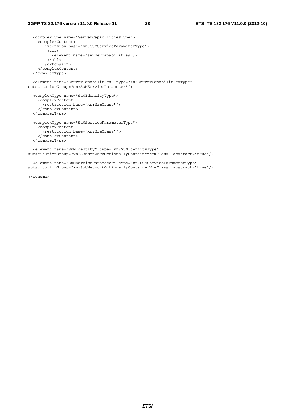```
 <complexType name="ServerCapabilitiesType"> 
     <complexContent> 
       <extension base="sn:SuMServiceParameterType"> 
         <all> 
           <element name="serverCapabilities"/> 
         </all> 
       </extension> 
     </complexContent> 
   </complexType> 
   <element name="ServerCapabilities" type="sn:ServerCapabilitiesType" 
substitutionGroup="sn:SuMServiceParameter"/> 
   <complexType name="SuMIdentityType"> 
    <complexContent> 
      <restriction base="xn:NrmClass"/> 
     </complexContent> 
   </complexType> 
   <complexType name="SuMServiceParameterType"> 
    <complexContent> 
       <restriction base="xn:NrmClass"/> 
     </complexContent> 
   </complexType> 
  <element name="SuMIdentity" type="sn:SuMIdentityType" 
substitutionGroup="xn:SubNetworkOptionallyContainedNrmClass" abstract="true"/> 
  <element name="SuMServiceParameter" type="sn:SuMServiceParameterType" 
substitutionGroup="xn:SubNetworkOptionallyContainedNrmClass" abstract="true"/>
```
</schema>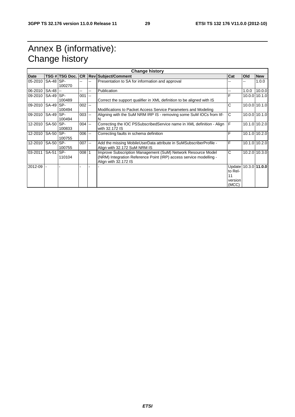# Annex B (informative): Change history

| <b>Change history</b> |  |                |           |    |                                                                                                                                                            |                                                           |       |               |
|-----------------------|--|----------------|-----------|----|------------------------------------------------------------------------------------------------------------------------------------------------------------|-----------------------------------------------------------|-------|---------------|
| Date                  |  | TSG # TSG Doc. | <b>CR</b> |    | <b>Rev Subject/Comment</b>                                                                                                                                 | Cat                                                       | Old   | <b>New</b>    |
| 05-2010   SA-48   SP- |  | 100270         |           |    | Presentation to SA for information and approval                                                                                                            |                                                           | --    | 1.0.0         |
| 06-2010 SA-48 --      |  |                | $- -$     | Щ. | Publication                                                                                                                                                |                                                           | 1.0.0 | 10.0.0        |
| 09-2010 SA-49 SP-     |  | 100489         | $001$ --  |    | Correct the support qualifier in XML definition to be aligned with IS                                                                                      | F                                                         |       | 10.0.0 10.1.0 |
| 09-2010 SA-49 SP-     |  | 100494         | $002$ --  |    | Modifications to Packet Access Service Parameters and Modeling                                                                                             | C                                                         |       | 10.0.0 10.1.0 |
| 09-2010 SA-49 SP-     |  | 100494         | $003$ --  |    | Aligning with the SuM NRM IRP IS - removing some SuM IOCs from Itf-<br>N                                                                                   | C                                                         |       | 10.0.0 10.1.0 |
| 12-2010 SA-50 SP-     |  | 100833         | $004$ --  |    | Correcting the IOC PSSubscribedService name in XML definition - Align<br>with 32.172 IS                                                                    | IF                                                        |       | 10.1.0 10.2.0 |
| 12-2010   SA-50   SP- |  | 100755         | $006$ --  |    | Correcting faults in schema definition                                                                                                                     | F                                                         |       | 10.1.0 10.2.0 |
| 12-2010   SA-50   SP- |  | 100755         | $007 -$   |    | Add the missing MobileUserData attribute in SuMSubscriberProfile -<br>Align with 32.172 SuM NRM IS                                                         | F                                                         |       | 10.1.0 10.2.0 |
| 03-2011 SA-51         |  | SP-<br>110104  | $008$ 1   |    | Improve Subscription Management (SuM) Network Resource Model<br>(NRM) Integration Reference Point (IRP) access service modelling -<br>Align with 32.172 IS | C                                                         |       | 10.2.0 10.3.0 |
| 2012-09               |  |                |           |    |                                                                                                                                                            | Update 10.3.0 11.0.0<br>to Rel-<br>11<br>version<br>(MCC) |       |               |